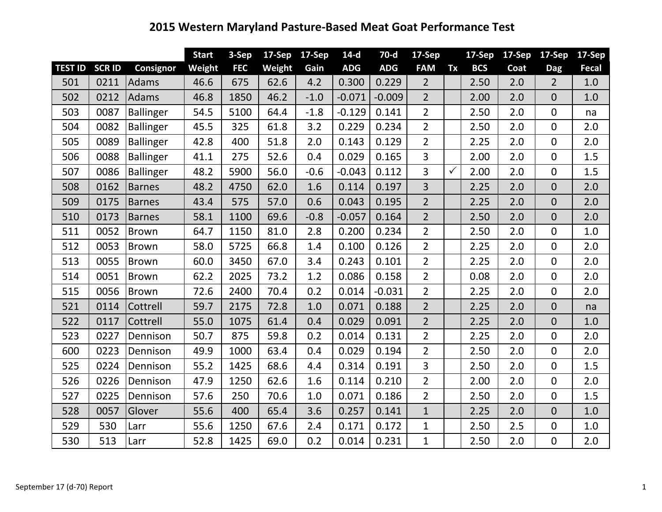## **2015 Western Maryland Pasture-Based Meat Goat Performance Test**

|                |               |                  | <b>Start</b> | 3-Sep      | 17-Sep | 17-Sep | $14-d$     | $70-d$     | $17-Sep$       |              | 17-Sep     | 17-Sep | 17-Sep         | 17-Sep       |
|----------------|---------------|------------------|--------------|------------|--------|--------|------------|------------|----------------|--------------|------------|--------|----------------|--------------|
| <b>TEST ID</b> | <b>SCR ID</b> | Consignor        | Weight       | <b>FEC</b> | Weight | Gain   | <b>ADG</b> | <b>ADG</b> | <b>FAM</b>     | Tx           | <b>BCS</b> | Coat   | <b>Dag</b>     | <b>Fecal</b> |
| 501            | 0211          | Adams            | 46.6         | 675        | 62.6   | 4.2    | 0.300      | 0.229      | $\overline{2}$ |              | 2.50       | 2.0    | $2^{\circ}$    | 1.0          |
| 502            | 0212          | Adams            | 46.8         | 1850       | 46.2   | $-1.0$ | $-0.071$   | $-0.009$   | $\overline{2}$ |              | 2.00       | 2.0    | $\overline{0}$ | 1.0          |
| 503            | 0087          | Ballinger        | 54.5         | 5100       | 64.4   | $-1.8$ | $-0.129$   | 0.141      | $\overline{2}$ |              | 2.50       | 2.0    | $\overline{0}$ | na           |
| 504            | 0082          | Ballinger        | 45.5         | 325        | 61.8   | 3.2    | 0.229      | 0.234      | $\overline{2}$ |              | 2.50       | 2.0    | $\overline{0}$ | 2.0          |
| 505            | 0089          | <b>Ballinger</b> | 42.8         | 400        | 51.8   | 2.0    | 0.143      | 0.129      | $\overline{2}$ |              | 2.25       | 2.0    | $\overline{0}$ | 2.0          |
| 506            | 0088          | <b>Ballinger</b> | 41.1         | 275        | 52.6   | 0.4    | 0.029      | 0.165      | 3              |              | 2.00       | 2.0    | $\mathbf 0$    | 1.5          |
| 507            | 0086          | Ballinger        | 48.2         | 5900       | 56.0   | $-0.6$ | $-0.043$   | 0.112      | $\overline{3}$ | $\checkmark$ | 2.00       | 2.0    | 0              | 1.5          |
| 508            | 0162          | <b>Barnes</b>    | 48.2         | 4750       | 62.0   | 1.6    | 0.114      | 0.197      | 3              |              | 2.25       | 2.0    | $\overline{0}$ | 2.0          |
| 509            | 0175          | <b>Barnes</b>    | 43.4         | 575        | 57.0   | 0.6    | 0.043      | 0.195      | $\overline{2}$ |              | 2.25       | 2.0    | $\overline{0}$ | 2.0          |
| 510            | 0173          | <b>Barnes</b>    | 58.1         | 1100       | 69.6   | $-0.8$ | $-0.057$   | 0.164      | $\overline{2}$ |              | 2.50       | 2.0    | $\overline{0}$ | 2.0          |
| 511            | 0052          | Brown            | 64.7         | 1150       | 81.0   | 2.8    | 0.200      | 0.234      | $\overline{2}$ |              | 2.50       | 2.0    | 0              | 1.0          |
| 512            | 0053          | Brown            | 58.0         | 5725       | 66.8   | 1.4    | 0.100      | 0.126      | $\overline{2}$ |              | 2.25       | 2.0    | 0              | 2.0          |
| 513            | 0055          | Brown            | 60.0         | 3450       | 67.0   | 3.4    | 0.243      | 0.101      | $\overline{2}$ |              | 2.25       | 2.0    | $\overline{0}$ | 2.0          |
| 514            | 0051          | <b>Brown</b>     | 62.2         | 2025       | 73.2   | 1.2    | 0.086      | 0.158      | $\overline{2}$ |              | 0.08       | 2.0    | $\overline{0}$ | 2.0          |
| 515            | 0056          | Brown            | 72.6         | 2400       | 70.4   | 0.2    | 0.014      | $-0.031$   | $\overline{2}$ |              | 2.25       | 2.0    | $\mathbf 0$    | 2.0          |
| 521            | 0114          | Cottrell         | 59.7         | 2175       | 72.8   | 1.0    | 0.071      | 0.188      | $\overline{2}$ |              | 2.25       | 2.0    | $\overline{0}$ | na           |
| 522            | 0117          | Cottrell         | 55.0         | 1075       | 61.4   | 0.4    | 0.029      | 0.091      | $\overline{2}$ |              | 2.25       | 2.0    | $\overline{0}$ | 1.0          |
| 523            | 0227          | Dennison         | 50.7         | 875        | 59.8   | 0.2    | 0.014      | 0.131      | $\overline{2}$ |              | 2.25       | 2.0    | $\mathbf{0}$   | 2.0          |
| 600            | 0223          | Dennison         | 49.9         | 1000       | 63.4   | 0.4    | 0.029      | 0.194      | $\overline{2}$ |              | 2.50       | 2.0    | $\mathbf 0$    | 2.0          |
| 525            | 0224          | Dennison         | 55.2         | 1425       | 68.6   | 4.4    | 0.314      | 0.191      | 3              |              | 2.50       | 2.0    | 0              | 1.5          |
| 526            | 0226          | Dennison         | 47.9         | 1250       | 62.6   | 1.6    | 0.114      | 0.210      | $\overline{2}$ |              | 2.00       | 2.0    | $\overline{0}$ | 2.0          |
| 527            | 0225          | Dennison         | 57.6         | 250        | 70.6   | 1.0    | 0.071      | 0.186      | $\overline{2}$ |              | 2.50       | 2.0    | $\overline{0}$ | 1.5          |
| 528            | 0057          | Glover           | 55.6         | 400        | 65.4   | 3.6    | 0.257      | 0.141      | $\mathbf{1}$   |              | 2.25       | 2.0    | $\overline{0}$ | 1.0          |
| 529            | 530           | Larr             | 55.6         | 1250       | 67.6   | 2.4    | 0.171      | 0.172      | $\mathbf{1}$   |              | 2.50       | 2.5    | $\mathbf 0$    | 1.0          |
| 530            | 513           | Larr             | 52.8         | 1425       | 69.0   | 0.2    | 0.014      | 0.231      | $\mathbf{1}$   |              | 2.50       | 2.0    | 0              | 2.0          |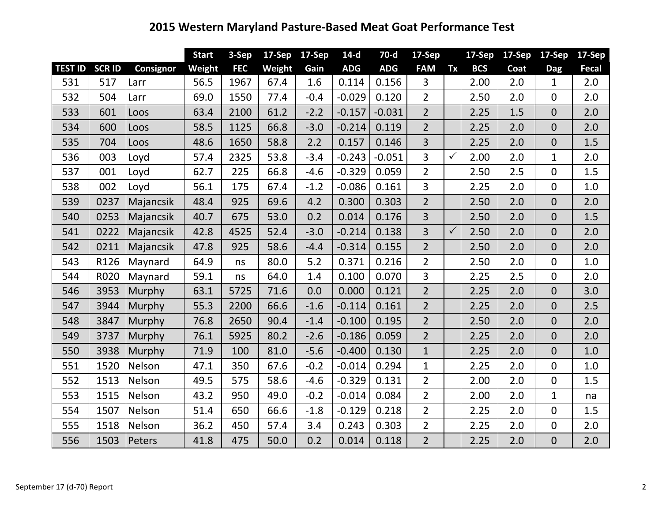## **2015 Western Maryland Pasture-Based Meat Goat Performance Test**

|                |              |           | <b>Start</b> | 3-Sep      | $17-Sep$ | 17-Sep | $14-d$     | $70-d$     | $17-Sep$       |              | 17-Sep     | 17-Sep | 17-Sep         | $17-$ Sep |
|----------------|--------------|-----------|--------------|------------|----------|--------|------------|------------|----------------|--------------|------------|--------|----------------|-----------|
| <b>TEST ID</b> | <b>SCRID</b> | Consignor | Weight       | <b>FEC</b> | Weight   | Gain   | <b>ADG</b> | <b>ADG</b> | <b>FAM</b>     | Tx           | <b>BCS</b> | Coat   | <b>Dag</b>     | Fecal     |
| 531            | 517          | Larr      | 56.5         | 1967       | 67.4     | 1.6    | 0.114      | 0.156      | 3              |              | 2.00       | 2.0    | $\mathbf{1}$   | 2.0       |
| 532            | 504          | Larr      | 69.0         | 1550       | 77.4     | $-0.4$ | $-0.029$   | 0.120      | $\overline{2}$ |              | 2.50       | 2.0    | $\mathbf 0$    | 2.0       |
| 533            | 601          | Loos      | 63.4         | 2100       | 61.2     | $-2.2$ | $-0.157$   | $-0.031$   | $\overline{2}$ |              | 2.25       | 1.5    | $\overline{0}$ | 2.0       |
| 534            | 600          | Loos      | 58.5         | 1125       | 66.8     | $-3.0$ | $-0.214$   | 0.119      | $\overline{2}$ |              | 2.25       | 2.0    | $\overline{0}$ | 2.0       |
| 535            | 704          | Loos      | 48.6         | 1650       | 58.8     | 2.2    | 0.157      | 0.146      | 3              |              | 2.25       | 2.0    | $\overline{0}$ | 1.5       |
| 536            | 003          | Loyd      | 57.4         | 2325       | 53.8     | $-3.4$ | $-0.243$   | $-0.051$   | 3              | $\checkmark$ | 2.00       | 2.0    | $\mathbf{1}$   | 2.0       |
| 537            | 001          | Loyd      | 62.7         | 225        | 66.8     | $-4.6$ | $-0.329$   | 0.059      | $\overline{2}$ |              | 2.50       | 2.5    | 0              | 1.5       |
| 538            | 002          | Loyd      | 56.1         | 175        | 67.4     | $-1.2$ | $-0.086$   | 0.161      | 3              |              | 2.25       | 2.0    | $\overline{0}$ | 1.0       |
| 539            | 0237         | Majancsik | 48.4         | 925        | 69.6     | 4.2    | 0.300      | 0.303      | $\overline{2}$ |              | 2.50       | 2.0    | $\overline{0}$ | 2.0       |
| 540            | 0253         | Majancsik | 40.7         | 675        | 53.0     | 0.2    | 0.014      | 0.176      | 3              |              | 2.50       | 2.0    | $\overline{0}$ | 1.5       |
| 541            | 0222         | Majancsik | 42.8         | 4525       | 52.4     | $-3.0$ | $-0.214$   | 0.138      | 3              | $\checkmark$ | 2.50       | 2.0    | $\overline{0}$ | 2.0       |
| 542            | 0211         | Majancsik | 47.8         | 925        | 58.6     | $-4.4$ | $-0.314$   | 0.155      | $\overline{2}$ |              | 2.50       | 2.0    | $\overline{0}$ | 2.0       |
| 543            | R126         | Maynard   | 64.9         | ns         | 80.0     | 5.2    | 0.371      | 0.216      | $\overline{2}$ |              | 2.50       | 2.0    | $\overline{0}$ | 1.0       |
| 544            | R020         | Maynard   | 59.1         | ns         | 64.0     | 1.4    | 0.100      | 0.070      | 3              |              | 2.25       | 2.5    | $\overline{0}$ | 2.0       |
| 546            | 3953         | Murphy    | 63.1         | 5725       | 71.6     | 0.0    | 0.000      | 0.121      | $\overline{2}$ |              | 2.25       | 2.0    | $\overline{0}$ | 3.0       |
| 547            | 3944         | Murphy    | 55.3         | 2200       | 66.6     | $-1.6$ | $-0.114$   | 0.161      | $\overline{2}$ |              | 2.25       | 2.0    | $\overline{0}$ | 2.5       |
| 548            | 3847         | Murphy    | 76.8         | 2650       | 90.4     | $-1.4$ | $-0.100$   | 0.195      | $\overline{2}$ |              | 2.50       | 2.0    | $\overline{0}$ | 2.0       |
| 549            | 3737         | Murphy    | 76.1         | 5925       | 80.2     | $-2.6$ | $-0.186$   | 0.059      | $\overline{2}$ |              | 2.25       | 2.0    | $\overline{0}$ | 2.0       |
| 550            | 3938         | Murphy    | 71.9         | 100        | 81.0     | $-5.6$ | $-0.400$   | 0.130      | $\mathbf{1}$   |              | 2.25       | 2.0    | $\overline{0}$ | 1.0       |
| 551            | 1520         | Nelson    | 47.1         | 350        | 67.6     | $-0.2$ | $-0.014$   | 0.294      | $\mathbf{1}$   |              | 2.25       | 2.0    | $\mathbf 0$    | 1.0       |
| 552            | 1513         | Nelson    | 49.5         | 575        | 58.6     | $-4.6$ | $-0.329$   | 0.131      | $\overline{2}$ |              | 2.00       | 2.0    | $\mathbf 0$    | 1.5       |
| 553            | 1515         | Nelson    | 43.2         | 950        | 49.0     | $-0.2$ | $-0.014$   | 0.084      | $\overline{2}$ |              | 2.00       | 2.0    | $\mathbf{1}$   | na        |
| 554            | 1507         | Nelson    | 51.4         | 650        | 66.6     | $-1.8$ | $-0.129$   | 0.218      | $\overline{2}$ |              | 2.25       | 2.0    | $\overline{0}$ | 1.5       |
| 555            | 1518         | Nelson    | 36.2         | 450        | 57.4     | 3.4    | 0.243      | 0.303      | $\overline{2}$ |              | 2.25       | 2.0    | $\mathbf 0$    | 2.0       |
| 556            | 1503         | Peters    | 41.8         | 475        | 50.0     | 0.2    | 0.014      | 0.118      | $\overline{2}$ |              | 2.25       | 2.0    | $\overline{0}$ | 2.0       |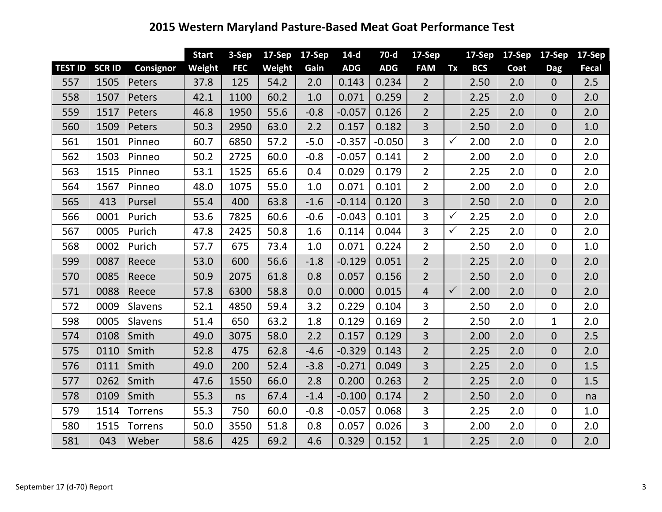## **2015 Western Maryland Pasture-Based Meat Goat Performance Test**

|                |               |                  | <b>Start</b> | 3-Sep      | 17-Sep | 17-Sep | $14-d$     | $70-d$     | $17-Sep$       |              | 17-Sep     | 17-Sep | 17-Sep         | $17-$ Sep |
|----------------|---------------|------------------|--------------|------------|--------|--------|------------|------------|----------------|--------------|------------|--------|----------------|-----------|
| <b>TEST ID</b> | <b>SCR ID</b> | <b>Consignor</b> | Weight       | <b>FEC</b> | Weight | Gain   | <b>ADG</b> | <b>ADG</b> | <b>FAM</b>     | Tx           | <b>BCS</b> | Coat   | <b>Dag</b>     | Fecal     |
| 557            | 1505          | Peters           | 37.8         | 125        | 54.2   | 2.0    | 0.143      | 0.234      | $\overline{2}$ |              | 2.50       | 2.0    | $\overline{0}$ | 2.5       |
| 558            | 1507          | Peters           | 42.1         | 1100       | 60.2   | 1.0    | 0.071      | 0.259      | $\overline{2}$ |              | 2.25       | 2.0    | $\overline{0}$ | 2.0       |
| 559            | 1517          | Peters           | 46.8         | 1950       | 55.6   | $-0.8$ | $-0.057$   | 0.126      | $\overline{2}$ |              | 2.25       | 2.0    | $\overline{0}$ | 2.0       |
| 560            | 1509          | Peters           | 50.3         | 2950       | 63.0   | 2.2    | 0.157      | 0.182      | $\overline{3}$ |              | 2.50       | 2.0    | $\overline{0}$ | 1.0       |
| 561            | 1501          | Pinneo           | 60.7         | 6850       | 57.2   | $-5.0$ | $-0.357$   | $-0.050$   | 3              | $\checkmark$ | 2.00       | 2.0    | $\mathbf{0}$   | 2.0       |
| 562            | 1503          | Pinneo           | 50.2         | 2725       | 60.0   | $-0.8$ | $-0.057$   | 0.141      | $2^{\circ}$    |              | 2.00       | 2.0    | $\overline{0}$ | 2.0       |
| 563            | 1515          | Pinneo           | 53.1         | 1525       | 65.6   | 0.4    | 0.029      | 0.179      | $\overline{2}$ |              | 2.25       | 2.0    | 0              | 2.0       |
| 564            | 1567          | Pinneo           | 48.0         | 1075       | 55.0   | 1.0    | 0.071      | 0.101      | $\overline{2}$ |              | 2.00       | 2.0    | $\mathbf 0$    | 2.0       |
| 565            | 413           | Pursel           | 55.4         | 400        | 63.8   | $-1.6$ | $-0.114$   | 0.120      | $\overline{3}$ |              | 2.50       | 2.0    | $\overline{0}$ | 2.0       |
| 566            | 0001          | Purich           | 53.6         | 7825       | 60.6   | $-0.6$ | $-0.043$   | 0.101      | 3              | $\checkmark$ | 2.25       | 2.0    | $\overline{0}$ | 2.0       |
| 567            | 0005          | Purich           | 47.8         | 2425       | 50.8   | 1.6    | 0.114      | 0.044      | 3              | $\checkmark$ | 2.25       | 2.0    | $\mathbf 0$    | 2.0       |
| 568            | 0002          | Purich           | 57.7         | 675        | 73.4   | 1.0    | 0.071      | 0.224      | $\overline{2}$ |              | 2.50       | 2.0    | $\mathbf 0$    | 1.0       |
| 599            | 0087          | Reece            | 53.0         | 600        | 56.6   | $-1.8$ | $-0.129$   | 0.051      | $\overline{2}$ |              | 2.25       | 2.0    | $\overline{0}$ | 2.0       |
| 570            | 0085          | Reece            | 50.9         | 2075       | 61.8   | 0.8    | 0.057      | 0.156      | $\overline{2}$ |              | 2.50       | 2.0    | $\overline{0}$ | 2.0       |
| 571            | 0088          | Reece            | 57.8         | 6300       | 58.8   | 0.0    | 0.000      | 0.015      | $\overline{4}$ | $\checkmark$ | 2.00       | 2.0    | $\overline{0}$ | 2.0       |
| 572            | 0009          | Slavens          | 52.1         | 4850       | 59.4   | 3.2    | 0.229      | 0.104      | 3              |              | 2.50       | 2.0    | 0              | 2.0       |
| 598            | 0005          | Slavens          | 51.4         | 650        | 63.2   | 1.8    | 0.129      | 0.169      | $\overline{2}$ |              | 2.50       | 2.0    | $\mathbf{1}$   | 2.0       |
| 574            | 0108          | Smith            | 49.0         | 3075       | 58.0   | 2.2    | 0.157      | 0.129      | $\overline{3}$ |              | 2.00       | 2.0    | $\overline{0}$ | 2.5       |
| 575            | 0110          | Smith            | 52.8         | 475        | 62.8   | $-4.6$ | $-0.329$   | 0.143      | $\overline{2}$ |              | 2.25       | 2.0    | $\overline{0}$ | 2.0       |
| 576            | 0111          | Smith            | 49.0         | 200        | 52.4   | $-3.8$ | $-0.271$   | 0.049      | 3              |              | 2.25       | 2.0    | $\overline{0}$ | 1.5       |
| 577            | 0262          | Smith            | 47.6         | 1550       | 66.0   | 2.8    | 0.200      | 0.263      | $\overline{2}$ |              | 2.25       | 2.0    | $\overline{0}$ | 1.5       |
| 578            | 0109          | Smith            | 55.3         | ns         | 67.4   | $-1.4$ | $-0.100$   | 0.174      | $\overline{2}$ |              | 2.50       | 2.0    | $\overline{0}$ | na        |
| 579            | 1514          | Torrens          | 55.3         | 750        | 60.0   | $-0.8$ | $-0.057$   | 0.068      | 3              |              | 2.25       | 2.0    | $\overline{0}$ | 1.0       |
| 580            | 1515          | Torrens          | 50.0         | 3550       | 51.8   | 0.8    | 0.057      | 0.026      | 3              |              | 2.00       | 2.0    | $\mathbf 0$    | 2.0       |
| 581            | 043           | Weber            | 58.6         | 425        | 69.2   | 4.6    | 0.329      | 0.152      | $\mathbf{1}$   |              | 2.25       | 2.0    | $\overline{0}$ | 2.0       |